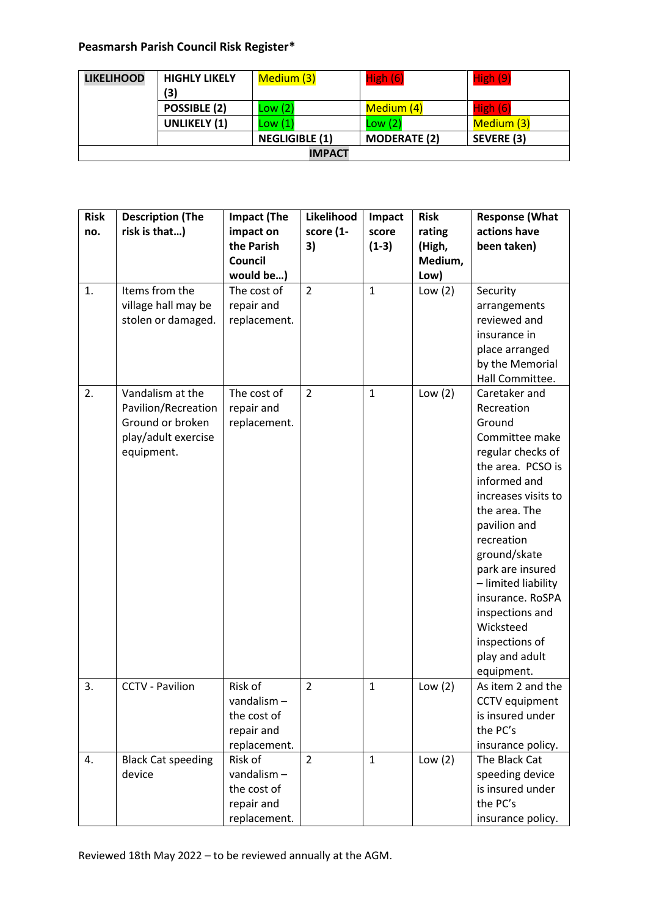## **Peasmarsh Parish Council Risk Register\***

| <b>LIKELIHOOD</b> | <b>HIGHLY LIKELY</b> | Medium (3)            | High (6)            | High (9)   |  |
|-------------------|----------------------|-----------------------|---------------------|------------|--|
|                   | (3)                  |                       |                     |            |  |
|                   | POSSIBLE (2)         | Low(2)                | Medium (4)          | High(6)    |  |
|                   | <b>UNLIKELY (1)</b>  | Low(1)                | Low(2)              | Medium (3) |  |
|                   |                      | <b>NEGLIGIBLE (1)</b> | <b>MODERATE (2)</b> | SEVERE (3) |  |
| <b>IMPACT</b>     |                      |                       |                     |            |  |

| <b>Risk</b><br>no. | <b>Description (The</b><br>risk is that)                                                         | <b>Impact (The</b><br>impact on<br>the Parish<br>Council<br>would be) | Likelihood<br>score (1-<br>3) | Impact<br>score<br>$(1-3)$ | <b>Risk</b><br>rating<br>(High,<br>Medium,<br>Low) | <b>Response (What</b><br>actions have<br>been taken)                                                                                                                                                                                                                                                                                                     |
|--------------------|--------------------------------------------------------------------------------------------------|-----------------------------------------------------------------------|-------------------------------|----------------------------|----------------------------------------------------|----------------------------------------------------------------------------------------------------------------------------------------------------------------------------------------------------------------------------------------------------------------------------------------------------------------------------------------------------------|
| 1.                 | Items from the<br>village hall may be<br>stolen or damaged.                                      | The cost of<br>repair and<br>replacement.                             | $\overline{2}$                | $\mathbf{1}$               | Low $(2)$                                          | Security<br>arrangements<br>reviewed and<br>insurance in<br>place arranged<br>by the Memorial<br>Hall Committee.                                                                                                                                                                                                                                         |
| 2.                 | Vandalism at the<br>Pavilion/Recreation<br>Ground or broken<br>play/adult exercise<br>equipment. | The cost of<br>repair and<br>replacement.                             | $\overline{2}$                | $\mathbf{1}$               | Low $(2)$                                          | Caretaker and<br>Recreation<br>Ground<br>Committee make<br>regular checks of<br>the area. PCSO is<br>informed and<br>increases visits to<br>the area. The<br>pavilion and<br>recreation<br>ground/skate<br>park are insured<br>- limited liability<br>insurance. RoSPA<br>inspections and<br>Wicksteed<br>inspections of<br>play and adult<br>equipment. |
| 3.                 | <b>CCTV - Pavilion</b>                                                                           | Risk of<br>vandalism-<br>the cost of<br>repair and<br>replacement.    | $\overline{2}$                | $\mathbf{1}$               | Low $(2)$                                          | As item 2 and the<br><b>CCTV</b> equipment<br>is insured under<br>the PC's<br>insurance policy.                                                                                                                                                                                                                                                          |
| 4.                 | <b>Black Cat speeding</b><br>device                                                              | Risk of<br>vandalism-<br>the cost of<br>repair and<br>replacement.    | $\overline{2}$                | $\mathbf{1}$               | Low $(2)$                                          | The Black Cat<br>speeding device<br>is insured under<br>the PC's<br>insurance policy.                                                                                                                                                                                                                                                                    |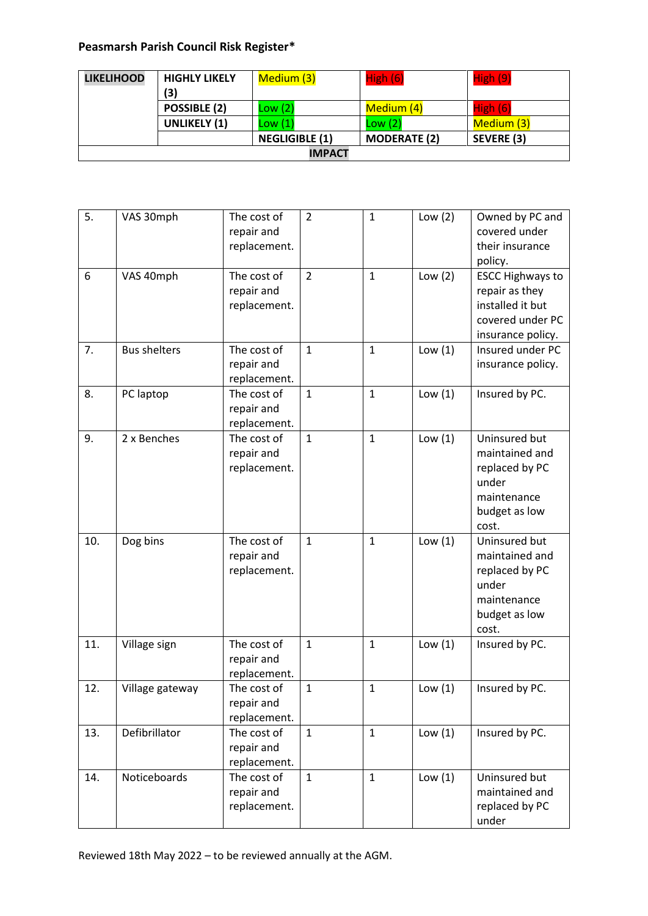## **Peasmarsh Parish Council Risk Register\***

| <b>LIKELIHOOD</b> | <b>HIGHLY LIKELY</b> | Medium (3)            | High (6)            | High (9)   |  |
|-------------------|----------------------|-----------------------|---------------------|------------|--|
|                   | (3)                  |                       |                     |            |  |
|                   | POSSIBLE (2)         | Low(2)                | Medium (4)          | High(6)    |  |
|                   | <b>UNLIKELY (1)</b>  | Low(1)                | Low(2)              | Medium (3) |  |
|                   |                      | <b>NEGLIGIBLE (1)</b> | <b>MODERATE (2)</b> | SEVERE (3) |  |
| <b>IMPACT</b>     |                      |                       |                     |            |  |

| 5.  | VAS 30mph           | The cost of<br>repair and<br>replacement. | $\overline{2}$ | $\mathbf{1}$ | Low $(2)$ | Owned by PC and<br>covered under<br>their insurance<br>policy.                                         |
|-----|---------------------|-------------------------------------------|----------------|--------------|-----------|--------------------------------------------------------------------------------------------------------|
| 6   | VAS 40mph           | The cost of<br>repair and<br>replacement. | $\overline{2}$ | $\mathbf{1}$ | Low $(2)$ | <b>ESCC Highways to</b><br>repair as they<br>installed it but<br>covered under PC<br>insurance policy. |
| 7.  | <b>Bus shelters</b> | The cost of<br>repair and<br>replacement. | $\mathbf{1}$   | $\mathbf{1}$ | Low $(1)$ | Insured under PC<br>insurance policy.                                                                  |
| 8.  | PC laptop           | The cost of<br>repair and<br>replacement. | $\mathbf{1}$   | $\mathbf{1}$ | Low $(1)$ | Insured by PC.                                                                                         |
| 9.  | 2 x Benches         | The cost of<br>repair and<br>replacement. | $\mathbf{1}$   | $\mathbf{1}$ | Low $(1)$ | Uninsured but<br>maintained and<br>replaced by PC<br>under<br>maintenance<br>budget as low<br>cost.    |
| 10. | Dog bins            | The cost of<br>repair and<br>replacement. | $\mathbf{1}$   | $\mathbf{1}$ | Low $(1)$ | Uninsured but<br>maintained and<br>replaced by PC<br>under<br>maintenance<br>budget as low<br>cost.    |
| 11. | Village sign        | The cost of<br>repair and<br>replacement. | $\mathbf{1}$   | $\mathbf{1}$ | Low $(1)$ | Insured by PC.                                                                                         |
| 12. | Village gateway     | The cost of<br>repair and<br>replacement. | $\mathbf{1}$   | $\mathbf{1}$ | Low $(1)$ | Insured by PC.                                                                                         |
| 13. | Defibrillator       | The cost of<br>repair and<br>replacement. | $\mathbf{1}$   | $\mathbf{1}$ | Low $(1)$ | Insured by PC.                                                                                         |
| 14. | Noticeboards        | The cost of<br>repair and<br>replacement. | $\mathbf{1}$   | $\mathbf{1}$ | Low $(1)$ | Uninsured but<br>maintained and<br>replaced by PC<br>under                                             |